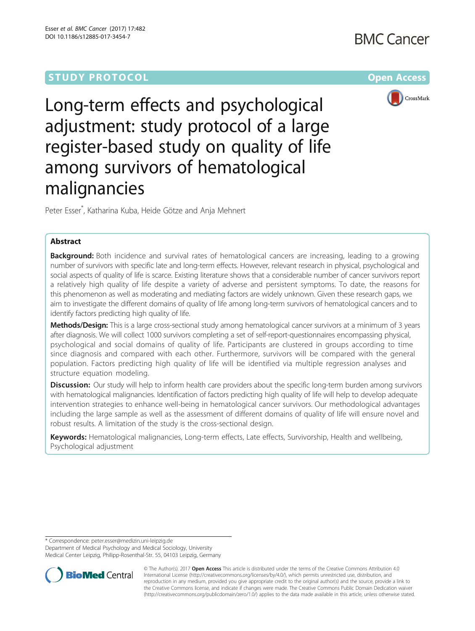# **STUDY PROTOCOL CONSUMING THE RESERVE ACCESS**



Long-term effects and psychological adjustment: study protocol of a large register-based study on quality of life among survivors of hematological malignancies

Peter Esser\* , Katharina Kuba, Heide Götze and Anja Mehnert

# Abstract

**Background:** Both incidence and survival rates of hematological cancers are increasing, leading to a growing number of survivors with specific late and long-term effects. However, relevant research in physical, psychological and social aspects of quality of life is scarce. Existing literature shows that a considerable number of cancer survivors report a relatively high quality of life despite a variety of adverse and persistent symptoms. To date, the reasons for this phenomenon as well as moderating and mediating factors are widely unknown. Given these research gaps, we aim to investigate the different domains of quality of life among long-term survivors of hematological cancers and to identify factors predicting high quality of life.

Methods/Design: This is a large cross-sectional study among hematological cancer survivors at a minimum of 3 years after diagnosis. We will collect 1000 survivors completing a set of self-report-questionnaires encompassing physical, psychological and social domains of quality of life. Participants are clustered in groups according to time since diagnosis and compared with each other. Furthermore, survivors will be compared with the general population. Factors predicting high quality of life will be identified via multiple regression analyses and structure equation modeling.

**Discussion:** Our study will help to inform health care providers about the specific long-term burden among survivors with hematological malignancies. Identification of factors predicting high quality of life will help to develop adequate intervention strategies to enhance well-being in hematological cancer survivors. Our methodological advantages including the large sample as well as the assessment of different domains of quality of life will ensure novel and robust results. A limitation of the study is the cross-sectional design.

Keywords: Hematological malignancies, Long-term effects, Late effects, Survivorship, Health and wellbeing, Psychological adjustment

\* Correspondence: [peter.esser@medizin.uni-leipzig.de](mailto:peter.esser@medizin.uni-leipzig.de)

Department of Medical Psychology and Medical Sociology, University Medical Center Leipzig, Philipp-Rosenthal-Str. 55, 04103 Leipzig, Germany

**BioMed Central** 

© The Author(s). 2017 **Open Access** This article is distributed under the terms of the Creative Commons Attribution 4.0 International License [\(http://creativecommons.org/licenses/by/4.0/](http://creativecommons.org/licenses/by/4.0/)), which permits unrestricted use, distribution, and reproduction in any medium, provided you give appropriate credit to the original author(s) and the source, provide a link to the Creative Commons license, and indicate if changes were made. The Creative Commons Public Domain Dedication waiver [\(http://creativecommons.org/publicdomain/zero/1.0/](http://creativecommons.org/publicdomain/zero/1.0/)) applies to the data made available in this article, unless otherwise stated.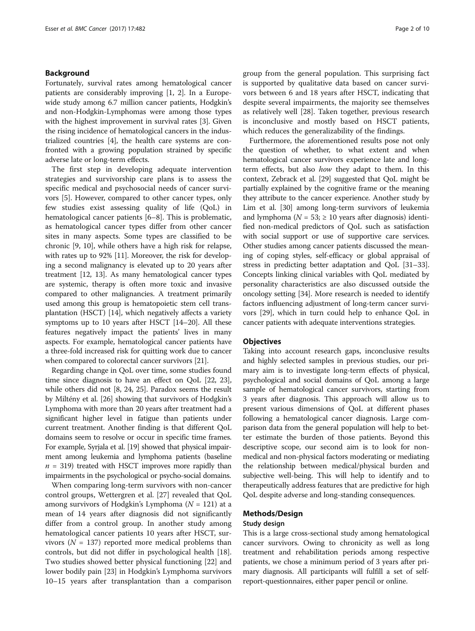# Background

Fortunately, survival rates among hematological cancer patients are considerably improving [[1](#page-7-0), [2\]](#page-7-0). In a Europewide study among 6.7 million cancer patients, Hodgkin's and non-Hodgkin-Lymphomas were among those types with the highest improvement in survival rates [\[3](#page-7-0)]. Given the rising incidence of hematological cancers in the industrialized countries [\[4\]](#page-7-0), the health care systems are confronted with a growing population strained by specific adverse late or long-term effects.

The first step in developing adequate intervention strategies and survivorship care plans is to assess the specific medical and psychosocial needs of cancer survivors [\[5](#page-7-0)]. However, compared to other cancer types, only few studies exist assessing quality of life (QoL) in hematological cancer patients [[6](#page-7-0)–[8\]](#page-7-0). This is problematic, as hematological cancer types differ from other cancer sites in many aspects. Some types are classified to be chronic [[9, 10](#page-7-0)], while others have a high risk for relapse, with rates up to 92% [[11](#page-7-0)]. Moreover, the risk for developing a second malignancy is elevated up to 20 years after treatment [\[12, 13\]](#page-7-0). As many hematological cancer types are systemic, therapy is often more toxic and invasive compared to other malignancies. A treatment primarily used among this group is hematopoietic stem cell transplantation (HSCT) [\[14\]](#page-7-0), which negatively affects a variety symptoms up to 10 years after HSCT [\[14](#page-7-0)–[20](#page-7-0)]. All these features negatively impact the patients' lives in many aspects. For example, hematological cancer patients have a three-fold increased risk for quitting work due to cancer when compared to colorectal cancer survivors [[21](#page-7-0)].

Regarding change in QoL over time, some studies found time since diagnosis to have an effect on QoL [[22](#page-7-0), [23](#page-7-0)], while others did not [\[8](#page-7-0), [24](#page-7-0), [25](#page-7-0)]. Paradox seems the result by Miltény et al. [\[26\]](#page-8-0) showing that survivors of Hodgkin's Lymphoma with more than 20 years after treatment had a significant higher level in fatigue than patients under current treatment. Another finding is that different QoL domains seem to resolve or occur in specific time frames. For example, Syrjala et al. [[19\]](#page-7-0) showed that physical impairment among leukemia and lymphoma patients (baseline  $n = 319$ ) treated with HSCT improves more rapidly than impairments in the psychological or psycho-social domains.

When comparing long-term survivors with non-cancer control groups, Wettergren et al. [[27](#page-8-0)] revealed that QoL among survivors of Hodgkin's Lymphoma ( $N = 121$ ) at a mean of 14 years after diagnosis did not significantly differ from a control group. In another study among hematological cancer patients 10 years after HSCT, survivors ( $N = 137$ ) reported more medical problems than controls, but did not differ in psychological health [\[18](#page-7-0)]. Two studies showed better physical functioning [\[22](#page-7-0)] and lower bodily pain [[23\]](#page-7-0) in Hodgkin's Lymphoma survivors 10–15 years after transplantation than a comparison group from the general population. This surprising fact is supported by qualitative data based on cancer survivors between 6 and 18 years after HSCT, indicating that despite several impairments, the majority see themselves as relatively well [\[28\]](#page-8-0). Taken together, previous research is inconclusive and mostly based on HSCT patients, which reduces the generalizability of the findings.

Furthermore, the aforementioned results pose not only the question of whether, to what extent and when hematological cancer survivors experience late and longterm effects, but also how they adapt to them. In this context, Zebrack et al. [[29](#page-8-0)] suggested that QoL might be partially explained by the cognitive frame or the meaning they attribute to the cancer experience. Another study by Lim et al. [\[30\]](#page-8-0) among long-term survivors of leukemia and lymphoma ( $N = 53$ ;  $\geq 10$  years after diagnosis) identified non-medical predictors of QoL such as satisfaction with social support or use of supportive care services. Other studies among cancer patients discussed the meaning of coping styles, self-efficacy or global appraisal of stress in predicting better adaptation and QoL [\[31](#page-8-0)–[33](#page-8-0)]. Concepts linking clinical variables with QoL mediated by personality characteristics are also discussed outside the oncology setting [[34](#page-8-0)]. More research is needed to identify factors influencing adjustment of long-term cancer survivors [[29\]](#page-8-0), which in turn could help to enhance QoL in cancer patients with adequate interventions strategies.

# **Objectives**

Taking into account research gaps, inconclusive results and highly selected samples in previous studies, our primary aim is to investigate long-term effects of physical, psychological and social domains of QoL among a large sample of hematological cancer survivors, starting from 3 years after diagnosis. This approach will allow us to present various dimensions of QoL at different phases following a hematological cancer diagnosis. Large comparison data from the general population will help to better estimate the burden of those patients. Beyond this descriptive scope, our second aim is to look for nonmedical and non-physical factors moderating or mediating the relationship between medical/physical burden and subjective well-being. This will help to identify and to therapeutically address features that are predictive for high QoL despite adverse and long-standing consequences.

# Methods/Design

# Study design

This is a large cross-sectional study among hematological cancer survivors. Owing to chronicity as well as long treatment and rehabilitation periods among respective patients, we chose a minimum period of 3 years after primary diagnosis. All participants will fulfill a set of selfreport-questionnaires, either paper pencil or online.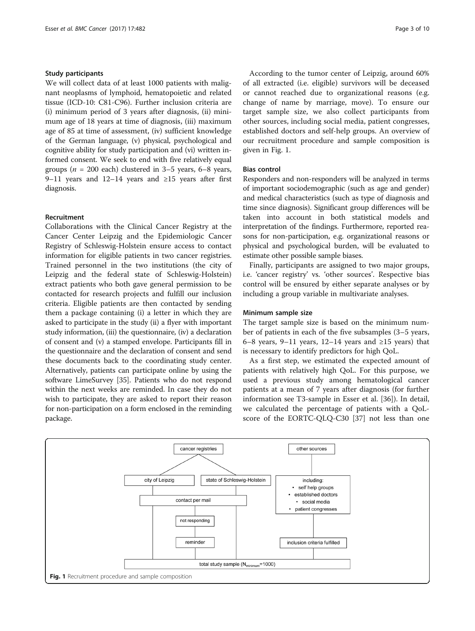# Study participants

We will collect data of at least 1000 patients with malignant neoplasms of lymphoid, hematopoietic and related tissue (ICD-10: C81-C96). Further inclusion criteria are (i) minimum period of 3 years after diagnosis, (ii) minimum age of 18 years at time of diagnosis, (iii) maximum age of 85 at time of assessment, (iv) sufficient knowledge of the German language, (v) physical, psychological and cognitive ability for study participation and (vi) written informed consent. We seek to end with five relatively equal groups ( $n = 200$  each) clustered in 3–5 years, 6–8 years, 9–11 years and 12–14 years and ≥15 years after first diagnosis.

# Recruitment

Collaborations with the Clinical Cancer Registry at the Cancer Center Leipzig and the Epidemiologic Cancer Registry of Schleswig-Holstein ensure access to contact information for eligible patients in two cancer registries. Trained personnel in the two institutions (the city of Leipzig and the federal state of Schleswig-Holstein) extract patients who both gave general permission to be contacted for research projects and fulfill our inclusion criteria. Eligible patients are then contacted by sending them a package containing (i) a letter in which they are asked to participate in the study (ii) a flyer with important study information, (iii) the questionnaire, (iv) a declaration of consent and (v) a stamped envelope. Participants fill in the questionnaire and the declaration of consent and send these documents back to the coordinating study center. Alternatively, patients can participate online by using the software LimeSurvey [\[35](#page-8-0)]. Patients who do not respond within the next weeks are reminded. In case they do not wish to participate, they are asked to report their reason for non-participation on a form enclosed in the reminding package.

According to the tumor center of Leipzig, around 60% of all extracted (i.e. eligible) survivors will be deceased or cannot reached due to organizational reasons (e.g. change of name by marriage, move). To ensure our target sample size, we also collect participants from other sources, including social media, patient congresses, established doctors and self-help groups. An overview of our recruitment procedure and sample composition is given in Fig. 1.

# Bias control

Responders and non-responders will be analyzed in terms of important sociodemographic (such as age and gender) and medical characteristics (such as type of diagnosis and time since diagnosis). Significant group differences will be taken into account in both statistical models and interpretation of the findings. Furthermore, reported reasons for non-participation, e.g. organizational reasons or physical and psychological burden, will be evaluated to estimate other possible sample biases.

Finally, participants are assigned to two major groups, i.e. 'cancer registry' vs. 'other sources'. Respective bias control will be ensured by either separate analyses or by including a group variable in multivariate analyses.

# Minimum sample size

The target sample size is based on the minimum number of patients in each of the five subsamples (3–5 years, 6–8 years, 9–11 years, 12–14 years and  $\geq$ 15 years) that is necessary to identify predictors for high QoL.

As a first step, we estimated the expected amount of patients with relatively high QoL. For this purpose, we used a previous study among hematological cancer patients at a mean of 7 years after diagnosis (for further information see T3-sample in Esser et al. [[36](#page-8-0)]). In detail, we calculated the percentage of patients with a QoLscore of the EORTC-QLQ-C30 [\[37](#page-8-0)] not less than one

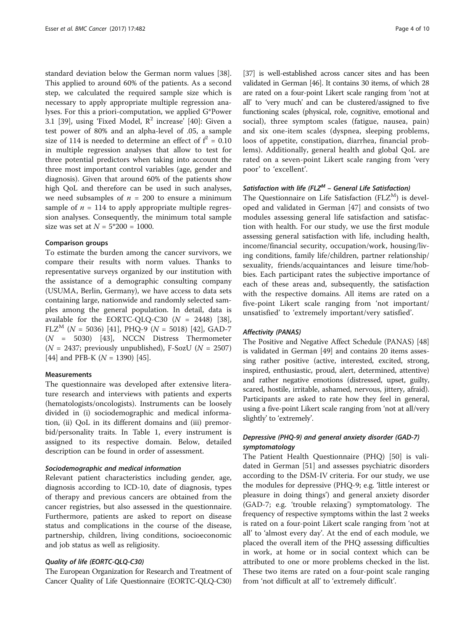standard deviation below the German norm values [\[38](#page-8-0)]. This applied to around 60% of the patients. As a second step, we calculated the required sample size which is necessary to apply appropriate multiple regression analyses. For this a priori-computation, we applied G\*Power 3.1 [[39\]](#page-8-0), using 'Fixed Model,  $R^2$  increase' [[40](#page-8-0)]: Given a test power of 80% and an alpha-level of .05, a sample size of 114 is needed to determine an effect of  $f^2 = 0.10$ in multiple regression analyses that allow to test for three potential predictors when taking into account the three most important control variables (age, gender and diagnosis). Given that around 60% of the patients show high QoL and therefore can be used in such analyses, we need subsamples of  $n = 200$  to ensure a minimum sample of  $n = 114$  to apply appropriate multiple regression analyses. Consequently, the minimum total sample size was set at  $N = 5*200 = 1000$ .

# Comparison groups

To estimate the burden among the cancer survivors, we compare their results with norm values. Thanks to representative surveys organized by our institution with the assistance of a demographic consulting company (USUMA, Berlin, Germany), we have access to data sets containing large, nationwide and randomly selected samples among the general population. In detail, data is available for the EORTC-QLQ-C30  $(N = 2448)$  [\[38](#page-8-0)], FLZ<sup>M</sup> (N = 5036) [\[41\]](#page-8-0), PHQ-9 (N = 5018) [[42\]](#page-8-0), GAD-7 (N = 5030) [\[43](#page-8-0)], NCCN Distress Thermometer  $(N = 2437;$  previously unpublished), F-SozU  $(N = 2507)$ [[44\]](#page-8-0) and PFB-K ( $N = 1390$ ) [\[45\]](#page-8-0).

# Measurements

The questionnaire was developed after extensive literature research and interviews with patients and experts (hematologists/oncologists). Instruments can be loosely divided in (i) sociodemographic and medical information, (ii) QoL in its different domains and (iii) premorbid/personality traits. In Table [1,](#page-4-0) every instrument is assigned to its respective domain. Below, detailed description can be found in order of assessment.

#### Sociodemographic and medical information

Relevant patient characteristics including gender, age, diagnosis according to ICD-10, date of diagnosis, types of therapy and previous cancers are obtained from the cancer registries, but also assessed in the questionnaire. Furthermore, patients are asked to report on disease status and complications in the course of the disease, partnership, children, living conditions, socioeconomic and job status as well as religiosity.

# Quality of life (EORTC-QLQ-C30)

The European Organization for Research and Treatment of Cancer Quality of Life Questionnaire (EORTC-QLQ-C30)

[[37](#page-8-0)] is well-established across cancer sites and has been validated in German [\[46\]](#page-8-0). It contains 30 items, of which 28 are rated on a four-point Likert scale ranging from 'not at all' to 'very much' and can be clustered/assigned to five functioning scales (physical, role, cognitive, emotional and social), three symptom scales (fatigue, nausea, pain) and six one-item scales (dyspnea, sleeping problems, loos of appetite, constipation, diarrhea, financial problems). Additionally, general health and global QoL are rated on a seven-point Likert scale ranging from 'very poor' to 'excellent'.

# Satisfaction with life (FLZ $^M$  – General Life Satisfaction)

The Questionnaire on Life Satisfaction ( $FLZ<sup>M</sup>$ ) is developed and validated in German [[47\]](#page-8-0) and consists of two modules assessing general life satisfaction and satisfaction with health. For our study, we use the first module assessing general satisfaction with life, including health, income/financial security, occupation/work, housing/living conditions, family life/children, partner relationship/ sexuality, friends/acquaintances and leisure time/hobbies. Each participant rates the subjective importance of each of these areas and, subsequently, the satisfaction with the respective domains. All items are rated on a five-point Likert scale ranging from 'not important/ unsatisfied' to 'extremely important/very satisfied'.

#### Affectivity (PANAS)

The Positive and Negative Affect Schedule (PANAS) [[48](#page-8-0)] is validated in German [[49](#page-8-0)] and contains 20 items assessing rather positive (active, interested, excited, strong, inspired, enthusiastic, proud, alert, determined, attentive) and rather negative emotions (distressed, upset, guilty, scared, hostile, irritable, ashamed, nervous, jittery, afraid). Participants are asked to rate how they feel in general, using a five-point Likert scale ranging from 'not at all/very slightly' to 'extremely'.

# Depressive (PHQ-9) and general anxiety disorder (GAD-7) symptomatology

The Patient Health Questionnaire (PHQ) [\[50](#page-8-0)] is validated in German [[51](#page-8-0)] and assesses psychiatric disorders according to the DSM-IV criteria. For our study, we use the modules for depressive (PHQ-9; e.g. 'little interest or pleasure in doing things') and general anxiety disorder (GAD-7; e.g. 'trouble relaxing') symptomatology. The frequency of respective symptoms within the last 2 weeks is rated on a four-point Likert scale ranging from 'not at all' to 'almost every day'. At the end of each module, we placed the overall item of the PHQ assessing difficulties in work, at home or in social context which can be attributed to one or more problems checked in the list. These two items are rated on a four-point scale ranging from 'not difficult at all' to 'extremely difficult'.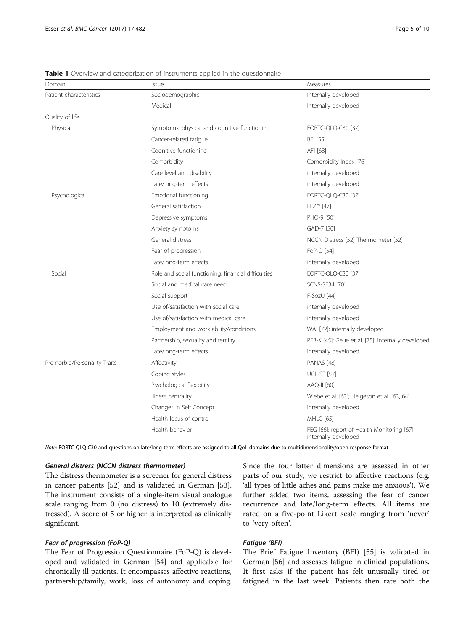| Domain                       | Issue                                               | Measures                                                            |
|------------------------------|-----------------------------------------------------|---------------------------------------------------------------------|
| Patient characteristics      | Sociodemographic                                    | Internally developed                                                |
|                              | Medical                                             | Internally developed                                                |
| Quality of life              |                                                     |                                                                     |
| Physical                     | Symptoms; physical and cognitive functioning        | EORTC-QLQ-C30 [37]                                                  |
|                              | Cancer-related fatigue                              | BFI [55]                                                            |
|                              | Cognitive functioning                               | AFI [68]                                                            |
|                              | Comorbidity                                         | Comorbidity Index [76]                                              |
|                              | Care level and disability                           | internally developed                                                |
|                              | Late/long-term effects                              | internally developed                                                |
| Psychological                | Emotional functioning                               | EORTC-QLQ-C30 [37]                                                  |
|                              | General satisfaction                                | $FLZ^M$ [47]                                                        |
|                              | Depressive symptoms                                 | PHQ-9 [50]                                                          |
|                              | Anxiety symptoms                                    | GAD-7 [50]                                                          |
|                              | General distress                                    | NCCN Distress [52] Thermometer [52]                                 |
|                              | Fear of progression                                 | FoP-Q [54]                                                          |
|                              | Late/long-term effects                              | internally developed                                                |
| Social                       | Role and social functioning; financial difficulties | EORTC-QLQ-C30 [37]                                                  |
|                              | Social and medical care need                        | SCNS-SF34 [70]                                                      |
|                              | Social support                                      | F-SozU [44]                                                         |
|                              | Use of/satisfaction with social care                | internally developed                                                |
|                              | Use of/satisfaction with medical care               | internally developed                                                |
|                              | Employment and work ability/conditions              | WAI [72]; internally developed                                      |
|                              | Partnership, sexuality and fertility                | PFB-K [45]; Geue et al. [75]; internally developed                  |
|                              | Late/long-term effects                              | internally developed                                                |
| Premorbid/Personality Traits | Affectivity                                         | <b>PANAS</b> [48]                                                   |
|                              | Coping styles                                       | <b>UCL-SF [57]</b>                                                  |
|                              | Psychological flexibility                           | AAQ-II [60]                                                         |
|                              | Illness centrality                                  | Wiebe et al. [63]; Helgeson et al. [63, 64]                         |
|                              | Changes in Self Concept                             | internally developed                                                |
|                              | Health locus of control                             | MHLC [65]                                                           |
|                              | Health behavior                                     | FEG [66]; report of Health Monitoring [67];<br>internally developed |

<span id="page-4-0"></span>**Table 1** Overview and categorization of instruments applied in the questionnaire

Note: EORTC-QLQ-C30 and questions on late/long-term effects are assigned to all QoL domains due to multidimensionality/open response format

# General distress (NCCN distress thermometer)

The distress thermometer is a screener for general distress in cancer patients [[52](#page-8-0)] and is validated in German [[53](#page-8-0)]. The instrument consists of a single-item visual analogue scale ranging from 0 (no distress) to 10 (extremely distressed). A score of 5 or higher is interpreted as clinically significant.

# Fear of progression (FoP-Q)

The Fear of Progression Questionnaire (FoP-Q) is developed and validated in German [\[54\]](#page-8-0) and applicable for chronically ill patients. It encompasses affective reactions, partnership/family, work, loss of autonomy and coping. Since the four latter dimensions are assessed in other parts of our study, we restrict to affective reactions (e.g. 'all types of little aches and pains make me anxious'). We further added two items, assessing the fear of cancer recurrence and late/long-term effects. All items are rated on a five-point Likert scale ranging from 'never' to 'very often'.

# Fatigue (BFI)

The Brief Fatigue Inventory (BFI) [\[55\]](#page-8-0) is validated in German [[56](#page-8-0)] and assesses fatigue in clinical populations. It first asks if the patient has felt unusually tired or fatigued in the last week. Patients then rate both the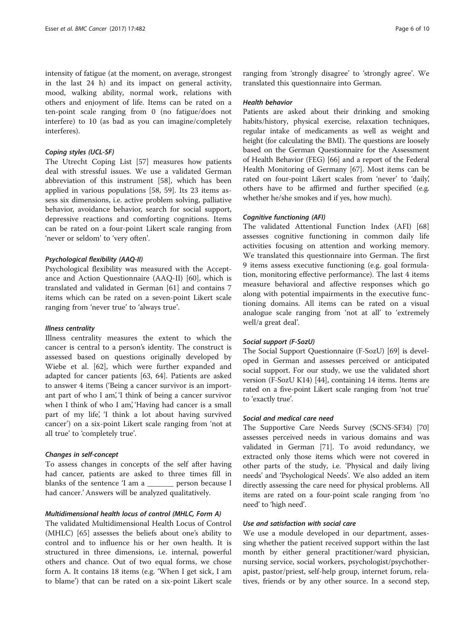intensity of fatigue (at the moment, on average, strongest in the last 24 h) and its impact on general activity, mood, walking ability, normal work, relations with others and enjoyment of life. Items can be rated on a ten-point scale ranging from 0 (no fatigue/does not interfere) to 10 (as bad as you can imagine/completely interferes).

# Coping styles (UCL-SF)

The Utrecht Coping List [[57\]](#page-8-0) measures how patients deal with stressful issues. We use a validated German abbreviation of this instrument [[58\]](#page-8-0), which has been applied in various populations [[58, 59\]](#page-8-0). Its 23 items assess six dimensions, i.e. active problem solving, palliative behavior, avoidance behavior, search for social support, depressive reactions and comforting cognitions. Items can be rated on a four-point Likert scale ranging from 'never or seldom' to 'very often'.

# Psychological flexibility (AAQ-II)

Psychological flexibility was measured with the Acceptance and Action Questionnaire (AAQ-II) [[60\]](#page-8-0), which is translated and validated in German [[61\]](#page-8-0) and contains 7 items which can be rated on a seven-point Likert scale ranging from 'never true' to 'always true'.

#### Illness centrality

Illness centrality measures the extent to which the cancer is central to a person's identity. The construct is assessed based on questions originally developed by Wiebe et al. [\[62](#page-8-0)], which were further expanded and adapted for cancer patients [\[63, 64\]](#page-8-0). Patients are asked to answer 4 items ('Being a cancer survivor is an important part of who I am', 'I think of being a cancer survivor when I think of who I am', 'Having had cancer is a small part of my life', 'I think a lot about having survived cancer') on a six-point Likert scale ranging from 'not at all true' to 'completely true'.

# Changes in self-concept

To assess changes in concepts of the self after having had cancer, patients are asked to three times fill in blanks of the sentence 'I am a \_\_\_\_\_\_\_ person because I had cancer.' Answers will be analyzed qualitatively.

# Multidimensional health locus of control (MHLC, Form A)

The validated Multidimensional Health Locus of Control (MHLC) [[65](#page-8-0)] assesses the beliefs about one's ability to control and to influence his or her own health. It is structured in three dimensions, i.e. internal, powerful others and chance. Out of two equal forms, we chose form A. It contains 18 items (e.g. 'When I get sick, I am to blame') that can be rated on a six-point Likert scale ranging from 'strongly disagree' to 'strongly agree'. We translated this questionnaire into German.

# Health behavior

Patients are asked about their drinking and smoking habits/history, physical exercise, relaxation techniques, regular intake of medicaments as well as weight and height (for calculating the BMI). The questions are loosely based on the German Questionnaire for the Assessment of Health Behavior (FEG) [[66](#page-8-0)] and a report of the Federal Health Monitoring of Germany [[67](#page-8-0)]. Most items can be rated on four-point Likert scales from 'never' to 'daily', others have to be affirmed and further specified (e.g. whether he/she smokes and if yes, how much).

# Cognitive functioning (AFI)

The validated Attentional Function Index (AFI) [[68](#page-9-0)] assesses cognitive functioning in common daily life activities focusing on attention and working memory. We translated this questionnaire into German. The first 9 items assess executive functioning (e.g. goal formulation, monitoring effective performance). The last 4 items measure behavioral and affective responses which go along with potential impairments in the executive functioning domains. All items can be rated on a visual analogue scale ranging from 'not at all' to 'extremely well/a great deal'.

## Social support (F-SozU)

The Social Support Questionnaire (F-SozU) [[69](#page-9-0)] is developed in German and assesses perceived or anticipated social support. For our study, we use the validated short version (F-SozU K14) [[44](#page-8-0)], containing 14 items. Items are rated on a five-point Likert scale ranging from 'not true' to 'exactly true'.

# Social and medical care need

The Supportive Care Needs Survey (SCNS-SF34) [[70](#page-9-0)] assesses perceived needs in various domains and was validated in German [\[71\]](#page-9-0). To avoid redundancy, we extracted only those items which were not covered in other parts of the study, i.e. 'Physical and daily living needs' and 'Psychological Needs'. We also added an item directly assessing the care need for physical problems. All items are rated on a four-point scale ranging from 'no need' to 'high need'.

# Use and satisfaction with social care

We use a module developed in our department, assessing whether the patient received support within the last month by either general practitioner/ward physician, nursing service, social workers, psychologist/psychotherapist, pastor/priest, self-help group, internet forum, relatives, friends or by any other source. In a second step,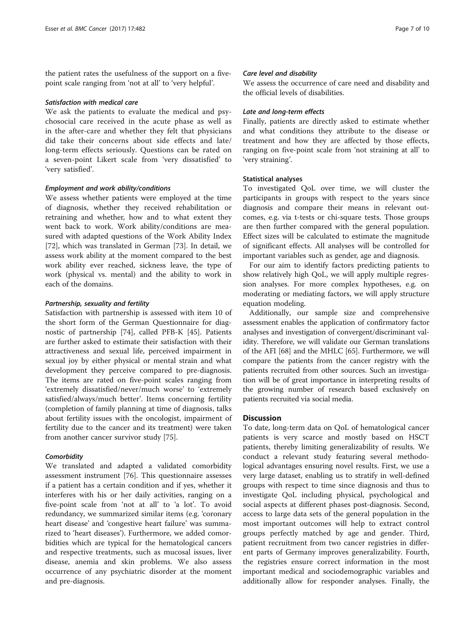the patient rates the usefulness of the support on a fivepoint scale ranging from 'not at all' to 'very helpful'.

## Satisfaction with medical care

We ask the patients to evaluate the medical and psychosocial care received in the acute phase as well as in the after-care and whether they felt that physicians did take their concerns about side effects and late/ long-term effects seriously. Questions can be rated on a seven-point Likert scale from 'very dissatisfied' to 'very satisfied'.

# Employment and work ability/conditions

We assess whether patients were employed at the time of diagnosis, whether they received rehabilitation or retraining and whether, how and to what extent they went back to work. Work ability/conditions are measured with adapted questions of the Work Ability Index [[72\]](#page-9-0), which was translated in German [\[73](#page-9-0)]. In detail, we assess work ability at the moment compared to the best work ability ever reached, sickness leave, the type of work (physical vs. mental) and the ability to work in each of the domains.

# Partnership, sexuality and fertility

Satisfaction with partnership is assessed with item 10 of the short form of the German Questionnaire for diagnostic of partnership [\[74](#page-9-0)], called PFB-K [[45\]](#page-8-0). Patients are further asked to estimate their satisfaction with their attractiveness and sexual life, perceived impairment in sexual joy by either physical or mental strain and what development they perceive compared to pre-diagnosis. The items are rated on five-point scales ranging from 'extremely dissatisfied/never/much worse' to 'extremely satisfied/always/much better'. Items concerning fertility (completion of family planning at time of diagnosis, talks about fertility issues with the oncologist, impairment of fertility due to the cancer and its treatment) were taken from another cancer survivor study [[75\]](#page-9-0).

# **Comorbidity**

We translated and adapted a validated comorbidity assessment instrument [[76\]](#page-9-0). This questionnaire assesses if a patient has a certain condition and if yes, whether it interferes with his or her daily activities, ranging on a five-point scale from 'not at all' to 'a lot'. To avoid redundancy, we summarized similar items (e.g. 'coronary heart disease' and 'congestive heart failure' was summarized to 'heart diseases'). Furthermore, we added comorbidities which are typical for the hematological cancers and respective treatments, such as mucosal issues, liver disease, anemia and skin problems. We also assess occurrence of any psychiatric disorder at the moment and pre-diagnosis.

#### Care level and disability

We assess the occurrence of care need and disability and the official levels of disabilities.

# Late and long-term effects

Finally, patients are directly asked to estimate whether and what conditions they attribute to the disease or treatment and how they are affected by those effects, ranging on five-point scale from 'not straining at all' to 'very straining'.

## Statistical analyses

To investigated QoL over time, we will cluster the participants in groups with respect to the years since diagnosis and compare their means in relevant outcomes, e.g. via t-tests or chi-square tests. Those groups are then further compared with the general population. Effect sizes will be calculated to estimate the magnitude of significant effects. All analyses will be controlled for important variables such as gender, age and diagnosis.

For our aim to identify factors predicting patients to show relatively high QoL, we will apply multiple regression analyses. For more complex hypotheses, e.g. on moderating or mediating factors, we will apply structure equation modeling.

Additionally, our sample size and comprehensive assessment enables the application of confirmatory factor analyses and investigation of convergent/discriminant validity. Therefore, we will validate our German translations of the AFI [\[68](#page-9-0)] and the MHLC [\[65\]](#page-8-0). Furthermore, we will compare the patients from the cancer registry with the patients recruited from other sources. Such an investigation will be of great importance in interpreting results of the growing number of research based exclusively on patients recruited via social media.

#### **Discussion**

To date, long-term data on QoL of hematological cancer patients is very scarce and mostly based on HSCT patients, thereby limiting generalizability of results. We conduct a relevant study featuring several methodological advantages ensuring novel results. First, we use a very large dataset, enabling us to stratify in well-defined groups with respect to time since diagnosis and thus to investigate QoL including physical, psychological and social aspects at different phases post-diagnosis. Second, access to large data sets of the general population in the most important outcomes will help to extract control groups perfectly matched by age and gender. Third, patient recruitment from two cancer registries in different parts of Germany improves generalizability. Fourth, the registries ensure correct information in the most important medical and sociodemographic variables and additionally allow for responder analyses. Finally, the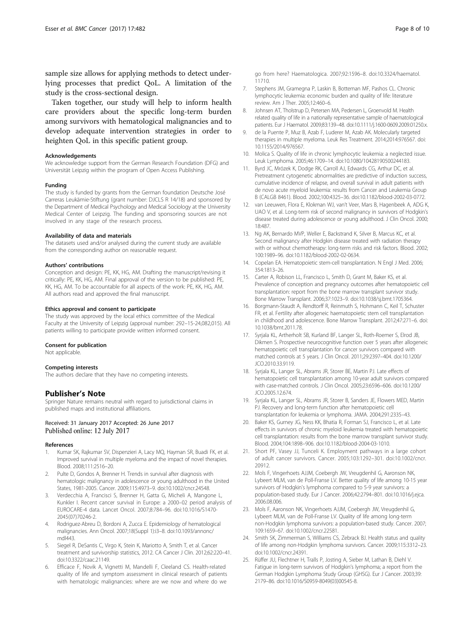<span id="page-7-0"></span>sample size allows for applying methods to detect underlying processes that predict QoL. A limitation of the study is the cross-sectional design.

Taken together, our study will help to inform health care providers about the specific long-term burden among survivors with hematological malignancies and to develop adequate intervention strategies in order to heighten QoL in this specific patient group.

# Acknowledgements

We acknowledge support from the German Research Foundation (DFG) and Universität Leipzig within the program of Open Access Publishing.

#### Funding

The study is funded by grants from the German foundation Deutsche José Carreras Leukämie-Stiftung (grant number: DJCLS R 14/18) and sponsored by the Department of Medical Psychology and Medical Sociology at the University Medical Center of Leipzig. The funding and sponsoring sources are not involved in any stage of the research process.

#### Availability of data and materials

The datasets used and/or analysed during the current study are available from the corresponding author on reasonable request.

#### Authors' contributions

Conception and design: PE, KK, HG, AM. Drafting the manuscript/revising it critically: PE, KK, HG, AM. Final approval of the version to be published: PE, KK, HG, AM. To be accountable for all aspects of the work: PE, KK, HG, AM. All authors read and approved the final manuscript.

#### Ethics approval and consent to participate

The study was approved by the local ethics committee of the Medical Faculty at the University of Leipzig (approval number: 292–15-24,082,015). All patients willing to participate provide written informed consent.

#### Consent for publication

Not applicable.

#### Competing interests

The authors declare that they have no competing interests.

# Publisher's Note

Springer Nature remains neutral with regard to jurisdictional claims in published maps and institutional affiliations.

# Received: 31 January 2017 Accepted: 26 June 2017 Published online: 12 July 2017

#### References

- Kumar SK, Rajkumar SV, Dispenzieri A, Lacy MQ, Hayman SR, Buadi FK, et al. Improved survival in multiple myeloma and the impact of novel therapies. Blood. 2008;111:2516–20.
- 2. Pulte D, Gondos A, Brenner H. Trends in survival after diagnosis with hematologic malignancy in adolescence or young adulthood in the United States, 1981-2005. Cancer. 2009;115:4973–9. doi:[10.1002/cncr.24548](http://dx.doi.org/10.1002/cncr.24548).
- 3. Verdecchia A, Francisci S, Brenner H, Gatta G, Micheli A, Mangone L, Kunkler I. Recent cancer survival in Europe: a 2000–02 period analysis of EUROCARE-4 data. Lancet Oncol. 2007;8:784–96. doi:[10.1016/S1470-](http://dx.doi.org/10.1016/S1470-2045(07)70246-2) [2045\(07\)70246-2.](http://dx.doi.org/10.1016/S1470-2045(07)70246-2)
- 4. Rodriguez-Abreu D, Bordoni A, Zucca E. Epidemiology of hematological malignancies. Ann Oncol. 2007;18(Suppl 1):i3–8. doi[:10.1093/annonc/](http://dx.doi.org/10.1093/annonc/mdl443) [mdl443](http://dx.doi.org/10.1093/annonc/mdl443).
- 5. Siegel R, DeSantis C, Virgo K, Stein K, Mariotto A, Smith T, et al. Cancer treatment and survivorship statistics, 2012. CA Cancer J Clin. 2012;62:220–41. doi[:10.3322/caac.21149.](http://dx.doi.org/10.3322/caac.21149)
- 6. Efficace F, Novik A, Vignetti M, Mandelli F, Cleeland CS. Health-related quality of life and symptom assessment in clinical research of patients with hematologic malignancies: where are we now and where do we

go from here? Haematologica. 2007;92:1596–8. doi[:10.3324/haematol.](http://dx.doi.org/10.3324/haematol.11710) [11710](http://dx.doi.org/10.3324/haematol.11710).

- 7. Stephens JM, Gramegna P, Laskin B, Botteman MF, Pashos CL. Chronic lymphocytic leukemia: economic burden and quality of life: literature review. Am J Ther. 2005;12:460–6.
- 8. Johnsen AT, Tholstrup D, Petersen MA, Pedersen L, Groenvold M. Health related quality of life in a nationally representative sample of haematological patients. Eur J Haematol. 2009;83:139–48. doi:[10.1111/j.1600-0609.2009.01250.x](http://dx.doi.org/10.1111/j.1600-0609.2009.01250.x).
- 9. de la Puente P, Muz B, Azab F, Luderer M, Azab AK. Molecularly targeted therapies in multiple myeloma. Leuk Res Treatment. 2014;2014:976567. doi: [10.1155/2014/976567](http://dx.doi.org/10.1155/2014/976567).
- 10. Molica S. Quality of life in chronic lymphocytic leukemia: a neglected issue. Leuk Lymphoma. 2005;46:1709–14. doi[:10.1080/10428190500244183.](http://dx.doi.org/10.1080/10428190500244183)
- 11. Byrd JC, Mrózek K, Dodge RK, Carroll AJ, Edwards CG, Arthur DC, et al. Pretreatment cytogenetic abnormalities are predictive of induction success, cumulative incidence of relapse, and overall survival in adult patients with de novo acute myeloid leukemia: results from Cancer and Leukemia Group B (CALGB 8461). Blood. 2002;100:4325–36. doi[:10.1182/blood-2002-03-0772.](http://dx.doi.org/10.1182/blood-2002-03-0772)
- 12. van Leeuwen, Flora E, Klokman WJ, van't Veer, Mars B, Hagenbeek A, ADG K, UAO V, et al. Long-term risk of second malignancy in survivors of Hodgkin's disease treated during adolescence or young adulthood. J Clin Oncol. 2000; 18:487.
- 13. Ng AK, Bernardo MVP, Weller E, Backstrand K, Silver B, Marcus KC, et al. Second malignancy after Hodgkin disease treated with radiation therapy with or without chemotherapy: long-term risks and risk factors. Blood. 2002; 100:1989–96. doi:[10.1182/blood-2002-02-0634](http://dx.doi.org/10.1182/blood-2002-02-0634).
- 14. Copelan EA. Hematopoietic stem-cell transplantation. N Engl J Med. 2006: 354:1813–26.
- 15. Carter A, Robison LL, Francisco L, Smith D, Grant M, Baker KS, et al. Prevalence of conception and pregnancy outcomes after hematopoietic cell transplantation: report from the bone marrow transplant survivor study. Bone Marrow Transplant. 2006;37:1023–9. doi[:10.1038/sj.bmt.1705364](http://dx.doi.org/10.1038/sj.bmt.1705364).
- 16. Borgmann-Staudt A, Rendtorff R, Reinmuth S, Hohmann C, Keil T, Schuster FR, et al. Fertility after allogeneic haematopoietic stem cell transplantation in childhood and adolescence. Bone Marrow Transplant. 2012;47:271–6. doi: [10.1038/bmt.2011.78](http://dx.doi.org/10.1038/bmt.2011.78).
- 17. Syrjala KL, Artherholt SB, Kurland BF, Langer SL, Roth-Roemer S, Elrod JB, Dikmen S. Prospective neurocognitive function over 5 years after allogeneic hematopoietic cell transplantation for cancer survivors compared with matched controls at 5 years. J Clin Oncol. 2011;29:2397–404. doi[:10.1200/](http://dx.doi.org/10.1200/JCO.2010.33.9119) [JCO.2010.33.9119.](http://dx.doi.org/10.1200/JCO.2010.33.9119)
- 18. Syrjala KL, Langer SL, Abrams JR, Storer BE, Martin PJ. Late effects of hematopoietic cell transplantation among 10-year adult survivors compared with case-matched controls. J Clin Oncol. 2005;23:6596–606. doi:[10.1200/](http://dx.doi.org/10.1200/JCO.2005.12.674) [JCO.2005.12.674](http://dx.doi.org/10.1200/JCO.2005.12.674).
- 19. Syrjala KL, Langer SL, Abrams JR, Storer B, Sanders JE, Flowers MED, Martin PJ. Recovery and long-term function after hematopoietic cell transplantation for leukemia or lymphoma. JAMA. 2004;291:2335–43.
- 20. Baker KS, Gurney JG, Ness KK, Bhatia R, Forman SJ, Francisco L, et al. Late effects in survivors of chronic myeloid leukemia treated with hematopoietic cell transplantation: results from the bone marrow transplant survivor study. Blood. 2004;104:1898–906. doi:[10.1182/blood-2004-03-1010](http://dx.doi.org/10.1182/blood-2004-03-1010).
- 21. Short PF, Vasey JJ, Tunceli K. Employment pathways in a large cohort of adult cancer survivors. Cancer. 2005;103:1292–301. doi[:10.1002/cncr.](http://dx.doi.org/10.1002/cncr.20912) [20912.](http://dx.doi.org/10.1002/cncr.20912)
- 22. Mols F, Vingerhoets AJJM, Coebergh JW, Vreugdenhil G, Aaronson NK, Lybeert MLM, van de Poll-Franse LV. Better quality of life among 10-15 year survivors of Hodgkin's lymphoma compared to 5-9 year survivors: a population-based study. Eur J Cancer. 2006;42:2794–801. doi[:10.1016/j.ejca.](http://dx.doi.org/10.1016/j.ejca.2006.08.006) [2006.08.006.](http://dx.doi.org/10.1016/j.ejca.2006.08.006)
- 23. Mols F, Aaronson NK, Vingerhoets AJJM, Coebergh JW, Vreugdenhil G, Lybeert MLM, van de Poll-Franse LV. Quality of life among long-term non-Hodgkin lymphoma survivors: a population-based study. Cancer. 2007; 109:1659–67. doi:[10.1002/cncr.22581](http://dx.doi.org/10.1002/cncr.22581).
- 24. Smith SK, Zimmerman S, Williams CS, Zebrack BJ. Health status and quality of life among non-Hodgkin lymphoma survivors. Cancer. 2009;115:3312–23. doi[:10.1002/cncr.24391](http://dx.doi.org/10.1002/cncr.24391).
- 25. Rüffer JU, Flechtner H, Tralls P, Josting A, Sieber M, Lathan B, Diehl V. Fatigue in long-term survivors of Hodgkin's lymphoma; a report from the German Hodgkin Lymphoma Study Group (GHSG). Eur J Cancer. 2003;39: 2179–86. doi[:10.1016/S0959-8049\(03\)00545-8](http://dx.doi.org/10.1016/S0959-8049(03)00545-8).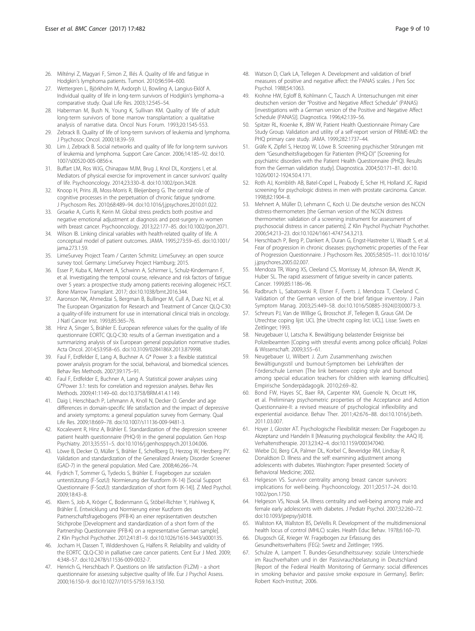- <span id="page-8-0"></span>26. Miltényi Z, Magyari F, Simon Z, Illés Á. Quality of life and fatigue in Hodgkin's lymphoma patients. Tumori. 2010;96:594–600.
- 27. Wettergren L, Björkholm M, Axdorph U, Bowling A, Langius-Eklöf A. Individual quality of life in long-term survivors of Hodgkin's lymphoma–a comparative study. Qual Life Res. 2003;12:545–54.
- 28. Haberman M, Bush N, Young K, Sullivan KM. Quality of life of adult long-term survivors of bone marrow transplantation: a qualitative analysis of narrative data. Oncol Nurs Forum. 1993;20:1545-553.
- 29. Zebrack B. Quality of life of long-term survivors of leukemia and lymphoma. J Psychosoc Oncol. 2000;18:39–59.
- 30. Lim J, Zebrack B. Social networks and quality of life for long-term survivors of leukemia and lymphoma. Support Care Cancer. 2006;14:185–92. doi:[10.](http://dx.doi.org/10.1007/s00520-005-0856-x) [1007/s00520-005-0856-x.](http://dx.doi.org/10.1007/s00520-005-0856-x)
- 31. Buffart LM, Ros WJG, Chinapaw MJM, Brug J, Knol DL, Korstjens I, et al. Mediators of physical exercise for improvement in cancer survivors' quality of life. Psychooncology. 2014;23:330–8. doi:[10.1002/pon.3428](http://dx.doi.org/10.1002/pon.3428).
- 32. Knoop H, Prins JB, Moss-Morris R, Bleijenberg G. The central role of cognitive processes in the perpetuation of chronic fatigue syndrome. J Psychosom Res. 2010;68:489–94. doi:[10.1016/j.jpsychores.2010.01.022](http://dx.doi.org/10.1016/j.jpsychores.2010.01.022).
- 33. Groarke A, Curtis R, Kerin M. Global stress predicts both positive and negative emotional adjustment at diagnosis and post-surgery in women with breast cancer. Psychooncology. 2013;22:177–85. doi:[10.1002/pon.2071](http://dx.doi.org/10.1002/pon.2071).
- 34. Wilson IB. Linking clinical variables with health-related quality of life. A conceptual model of patient outcomes. JAMA. 1995;273:59–65. doi[:10.1001/](http://dx.doi.org/10.1001/jama.273.1.59) [jama.273.1.59](http://dx.doi.org/10.1001/jama.273.1.59).
- 35. LimeSurvey Project Team / Carsten Schmitz. LimeSurvey: an open source survey tool. Germany: LimeSurvey Project Hamburg; 2015.
- 36. Esser P, Kuba K, Mehnert A, Schwinn A, Schirmer L, Schulz-Kindermann F, et al. Investigating the temporal course, relevance and risk factors of fatigue over 5 years: a prospective study among patients receiving allogeneic HSCT. Bone Marrow Transplant. 2017; doi[:10.1038/bmt.2016.344](http://dx.doi.org/10.1038/bmt.2016.344).
- 37. Aaronson NK, Ahmedzai S, Bergman B, Bullinger M, Cull A, Duez NJ, et al. The European Organization for Research and Treatment of Cancer QLQ-C30: a quality-of-life instrument for use in international clinical trials in oncology. J Natl Cancer Inst. 1993;85:365–76.
- 38. Hinz A, Singer S, Brähler E. European reference values for the quality of life questionnaire EORTC QLQ-C30: results of a German investigation and a summarizing analysis of six European general population normative studies. Acta Oncol. 2014;53:958–65. doi:[10.3109/0284186X.2013.879998](http://dx.doi.org/10.3109/0284186X.2013.879998).
- 39. Faul F, Erdfelder E, Lang A, Buchner A. G\* Power 3: a flexible statistical power analysis program for the social, behavioral, and biomedical sciences. Behav Res Methods. 2007;39:175–91.
- 40. Faul F, Erdfelder E, Buchner A, Lang A. Statistical power analyses using G\*Power 3.1: tests for correlation and regression analyses. Behav Res Methods. 2009;41:1149–60. doi:[10.3758/BRM.41.4.1149.](http://dx.doi.org/10.3758/BRM.41.4.1149)
- 41. Daig I, Herschbach P, Lehmann A, Knoll N, Decker O. Gender and age differences in domain-specific life satisfaction and the impact of depressive and anxiety symptoms: a general population survey from Germany. Qual Life Res. 2009;18:669–78. doi:[10.1007/s11136-009-9481-3](http://dx.doi.org/10.1007/s11136-009-9481-3).
- 42. Kocalevent R, Hinz A, Brähler E. Standardization of the depression screener patient health questionnaire (PHQ-9) in the general population. Gen Hosp Psychiatry. 2013;35:551–5. doi:[10.1016/j.genhosppsych.2013.04.006](http://dx.doi.org/10.1016/j.genhosppsych.2013.04.006).
- 43. Löwe B, Decker O, Müller S, Brähler E, Schellberg D, Herzog W, Herzberg PY. Validation and standardization of the Generalized Anxiety Disorder Screener (GAD-7) in the general population. Med Care. 2008;46:266–74.
- 44. Fydrich T, Sommer G, Tydecks S, Brähler E. Fragebogen zur sozialen unterstützung (F-SozU): Normierung der Kurzform (K-14) [Social Support Questionnaire (F-SozU): standardization of short form (K-14)]. Z Med Psychol. 2009;18:43–8.
- 45. Kliem S, Job A, Kröger C, Bodenmann G, Stöbel-Richter Y, Hahlweg K, Brähler E. Entwicklung und Normierung einer Kurzform des Partnerschaftsfragebogens (PFB-K) an einer repräsentativen deutschen Stichprobe [Development and standardization of a short form of the Partnership Questionnaire (PFB-K) on a representative German sample]. Z Klin Psychol Psychother. 2012;41:81–9. doi:[10.1026/1616-3443/a000135](http://dx.doi.org/10.1026/1616-3443/a000135).
- 46. Jocham H, Dassen T, Widdershoven G, Halfens R. Reliability and validity of the EORTC QLQ-C30 in palliative care cancer patients. Cent Eur J Med. 2009; 4:348–57. doi:[10.2478/s11536-009-0032-7.](http://dx.doi.org/10.2478/s11536-009-0032-7)
- 47. Henrich G, Herschbach P. Questions on life satisfaction (FLZM) a short questionnaire for assessing subjective quality of life. Eur J Psychol Assess. 2000;16:150–9. doi[:10.1027//1015-5759.16.3.150](http://dx.doi.org/10.1027//1015-5759.16.3.150).
- 48. Watson D, Clark LA, Tellegen A. Development and validation of brief measures of positive and negative affect: the PANAS scales. J Pers Soc Psychol. 1988;54:1063.
- 49. Krohne HW, Egloff B, Kohlmann C, Tausch A. Untersuchungen mit einer deutschen version der "Positive and Negative Affect Schedule" (PANAS) [investigations with a German version of the Positive and Negative Affect Schedule (PANAS)]. Diagnostica. 1996;42:139–56.
- 50. Spitzer RL, Kroenke K, JBW W, Patient Health Questionnaire Primary Care Study Group. Validation and utility of a self-report version of PRIME-MD: the PHQ primary care study. JAMA. 1999;282:1737–44.
- 51. Gräfe K, Zipfel S, Herzog W, Löwe B. Screening psychischer Störungen mit dem "Gesundheitsfragebogen für Patienten (PHQ-D)" [Screening for psychiatric disorders with the Patient Health Questionnaire (PHQ). Results from the German validation study]. Diagnostica. 2004;50:171–81. doi:[10.](http://dx.doi.org/10.1026/0012-1924.50.4.171) [1026/0012-1924.50.4.171](http://dx.doi.org/10.1026/0012-1924.50.4.171).
- 52. Roth AJ, Kornblith AB, Batel-Copel L, Peabody E, Scher HI, Holland JC. Rapid screening for psychologic distress in men with prostate carcinoma. Cancer. 1998;82:1904–8.
- 53. Mehnert A, Müller D, Lehmann C, Koch U. Die deutsche version des NCCN distress-thermometers [the German version of the NCCN distress thermometer: validation of a screening instrument for assessment of psychosocial distress in cancer patients]. Z Klin Psychol Psychiatr Psychother. 2006;54:213–23. doi:[10.1024/1661-4747.54.3.213](http://dx.doi.org/10.1024/1661-4747.54.3.213).
- 54. Herschbach P, Berg P, Dankert A, Duran G, Engst-Hastreiter U, Waadt S, et al. Fear of progression in chronic diseases: psychometric properties of the Fear of Progression Questionnaire. J Psychosom Res. 2005;58:505–11. doi[:10.1016/](http://dx.doi.org/10.1016/j.jpsychores.2005.02.007) [j.jpsychores.2005.02.007](http://dx.doi.org/10.1016/j.jpsychores.2005.02.007).
- 55. Mendoza TR, Wang XS, Cleeland CS, Morrissey M, Johnson BA, Wendt JK, Huber SL. The rapid assessment of fatigue severity in cancer patients. Cancer. 1999;85:1186–96.
- 56. Radbruch L, Sabatowski R, Elsner F, Everts J, Mendoza T, Cleeland C. Validation of the German version of the brief fatigue inventory. J Pain Symptom Manag. 2003;25:449–58. doi:[10.1016/S0885-3924\(03\)00073-3](http://dx.doi.org/10.1016/S0885-3924(03)00073-3).
- 57. Schreurs PJ, Van de Willige G, Brosschot JF, Tellegen B, Graus GM. De Utrechtse coping lijst: UCL [the Utrecht coping list: UCL]. Lisse: Swets en Zeitlinger; 1993.
- 58. Neugebauer U, Latscha K. Bewältigung belastender Ereignisse bei Polizeibeamten [Coping with stressful events among police officials]. Polizei & Wissenschaft. 2009;3:55–61.
- 59. Neugebauer U, Wilbert J. Zum Zusammenhang zwischen Bewältigungsstil und burnout-Symptomen bei Lehrkräften der Förderschule Lernen [The link between coping style and burnout among special education teachers for children with learning difficulties]. Empirische Sonderpädagogik. 2010;2:69–82.
- 60. Bond FW, Hayes SC, Baer RA, Carpenter KM, Guenole N, Orcutt HK, et al. Preliminary psychometric properties of the Acceptance and Action Questionnaire-II: a revised measure of psychological inflexibility and experiential avoidance. Behav Ther. 2011;42:676–88. doi[:10.1016/j.beth.](http://dx.doi.org/10.1016/j.beth.2011.03.007) [2011.03.007.](http://dx.doi.org/10.1016/j.beth.2011.03.007)
- 61. Hoyer J, Gloster AT. Psychologische Flexibilität messen: Der Fragebogen zu Akzeptanz und Handeln II [Measuring psychological flexibility: the AAQ II]. Verhaltenstherapie. 2013;23:42–4. doi[:10.1159/000347040.](http://dx.doi.org/10.1159/000347040)
- 62. Wiebe DJ, Berg CA, Palmer DL, Korbel C, Beveridge RM, Lindsay R, Donaldson D. Illness and the self: examining adjustment among adolescents with diabetes. Washington: Paper presented: Society of Behavioral Medicine; 2002.
- 63. Helgeson VS. Survivor centrality among breast cancer survivors: implications for well-being. Psychooncology. 2011;20:517–24. doi[:10.](http://dx.doi.org/10.1002/pon.1750) [1002/pon.1750](http://dx.doi.org/10.1002/pon.1750).
- 64. Helgeson VS, Novak SA. Illness centrality and well-being among male and female early adolescents with diabetes. J Pediatr Psychol. 2007;32:260–72. doi[:10.1093/jpepsy/jsl018.](http://dx.doi.org/10.1093/jpepsy/jsl018)
- 65. Wallston KA, Wallston BS, DeVellis R. Development of the multidimensional health locus of control (MHLC) scales. Health Educ Behav. 1978;6:160–70.
- 66. Dlugosch GE, Krieger W. Fragebogen zur Erfassung des Gesundheitsverhaltens (FEG): Swetz and Zeitlinger; 1995.
- 67. Schulze A, Lampert T. Bundes-Gesundheitssurvey: soziale Unterschiede im Rauchverhalten und in der Passivrauchbelastung in Deutschland [Report of the Federal Health Monitoring of Germany: social differences in smoking behavior and passive smoke exposure in Germany]. Berlin: Robert Koch-Institut; 2006.